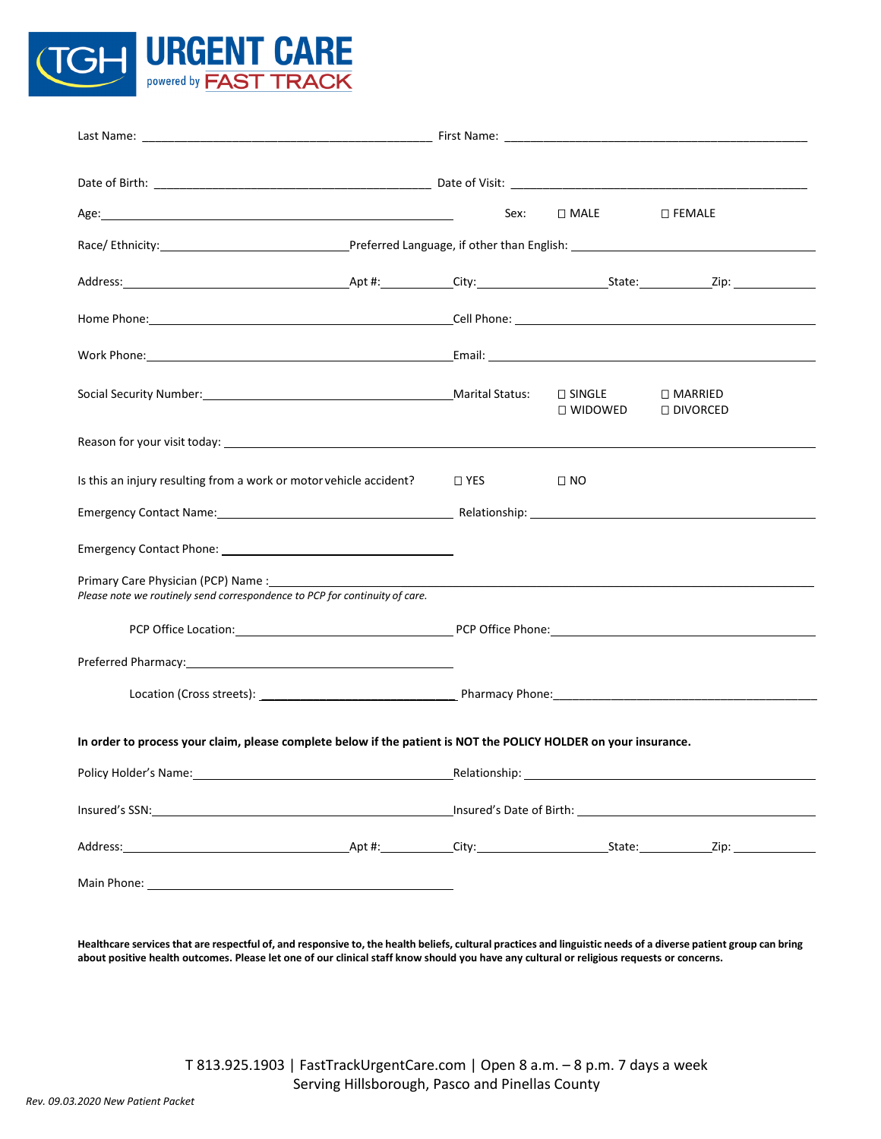

|                                                                                                                                                                                                                                | Sex:               | $\square$ MALE    | $\square$ FEMALE        |  |
|--------------------------------------------------------------------------------------------------------------------------------------------------------------------------------------------------------------------------------|--------------------|-------------------|-------------------------|--|
|                                                                                                                                                                                                                                |                    |                   |                         |  |
|                                                                                                                                                                                                                                |                    |                   |                         |  |
|                                                                                                                                                                                                                                |                    |                   |                         |  |
|                                                                                                                                                                                                                                |                    |                   |                         |  |
|                                                                                                                                                                                                                                |                    | $\square$ WIDOWED | □ MARRIED<br>□ DIVORCED |  |
| Reason for your visit today: example and the second service of the service of the service of the service of the service of the service of the service of the service of the service of the service of the service of the servi |                    |                   |                         |  |
| Is this an injury resulting from a work or motor vehicle accident?  I YES                                                                                                                                                      |                    | $\square$ NO      |                         |  |
| Emergency Contact Name: No. 2006. The Contract of the Contract of the Contract of the Contract of the Contract of the Contract of the Contract of the Contract of the Contract of the Contract of the Contract of the Contract |                    |                   |                         |  |
| Emergency Contact Phone: 2008 2010 2010 2021 2022 2023 2024 2022 2023 2024 2022 2023 2024 2022 2023 2024 2022                                                                                                                  |                    |                   |                         |  |
| Primary Care Physician (PCP) Name:<br>Please note we routinely send correspondence to PCP for continuity of care.                                                                                                              |                    |                   |                         |  |
|                                                                                                                                                                                                                                |                    |                   |                         |  |
| Preferred Pharmacy: 1997 - 1998 - 1998 - 1999 - 1999 - 1999 - 1999 - 1999 - 1999 - 1999 - 1999 - 1999 - 1999 -                                                                                                                 |                    |                   |                         |  |
|                                                                                                                                                                                                                                |                    |                   |                         |  |
| In order to process your claim, please complete below if the patient is NOT the POLICY HOLDER on your insurance.                                                                                                               |                    |                   |                         |  |
|                                                                                                                                                                                                                                | Relationship: 1990 |                   |                         |  |
|                                                                                                                                                                                                                                |                    |                   |                         |  |
|                                                                                                                                                                                                                                |                    |                   |                         |  |
|                                                                                                                                                                                                                                |                    |                   |                         |  |
|                                                                                                                                                                                                                                |                    |                   |                         |  |

**Healthcare services that are respectful of, and responsive to, the health beliefs, cultural practices and linguistic needs of a diverse patient group can bring about positive health outcomes. Please let one of our clinical staff know should you have any cultural or religious requests or concerns.**

> T 813.925.1903 | FastTrackUrgentCare.com | Open 8 a.m. – 8 p.m. 7 days a week Serving Hillsborough, Pasco and Pinellas County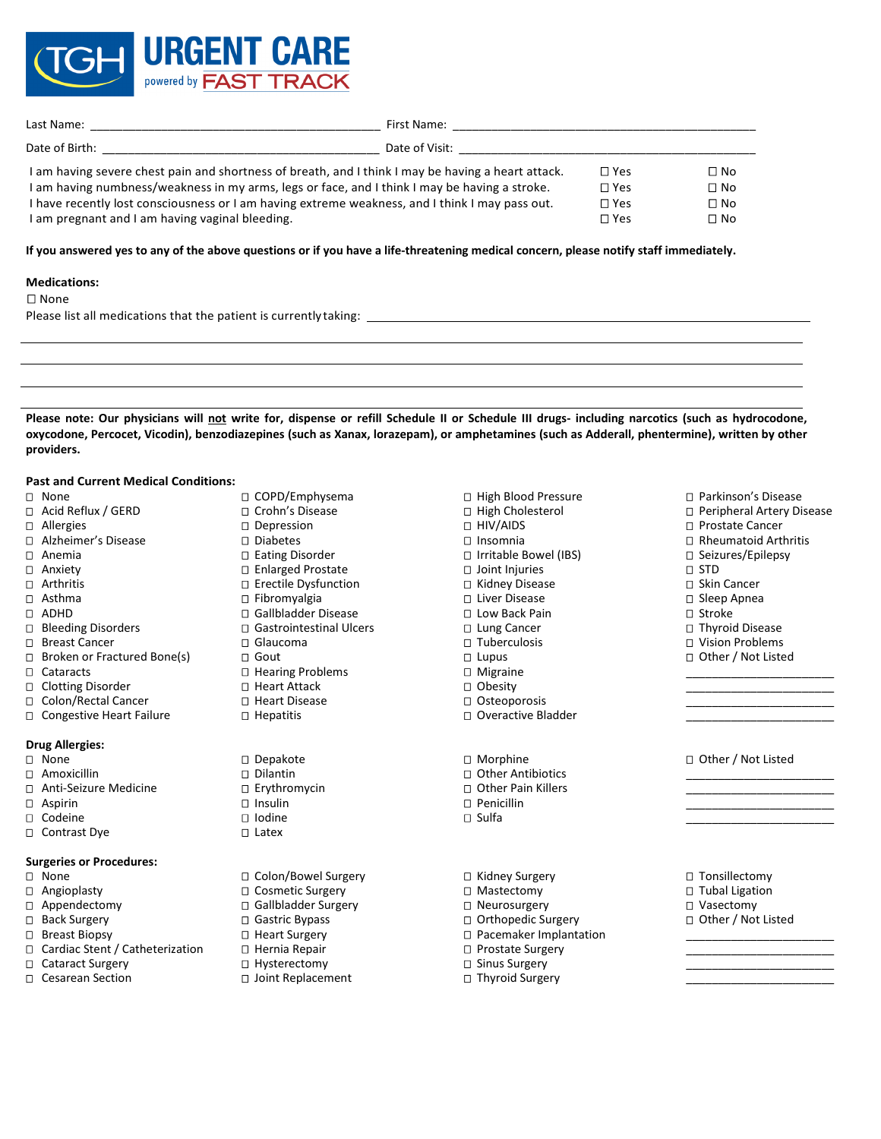

| Last Name:                                                                                         | First Name:    |               |              |
|----------------------------------------------------------------------------------------------------|----------------|---------------|--------------|
| Date of Birth:                                                                                     | Date of Visit: |               |              |
| I am having severe chest pain and shortness of breath, and I think I may be having a heart attack. |                | $\Box$ Yes    | $\Box$ No    |
| I am having numbness/weakness in my arms, legs or face, and I think I may be having a stroke.      |                | $\square$ Yes | $\Box$ No    |
| I have recently lost consciousness or I am having extreme weakness, and I think I may pass out.    |                | $\square$ Yes | $\square$ No |
| I am pregnant and I am having vaginal bleeding.                                                    |                | ר Yes         | $\Box$ No    |

# **If you answered yes to any of the above questions or if you have a life-threatening medical concern, please notify staff immediately.**

## **Medications:**

# □ None

Please list all medications that the patient is currently taking:

**Please note: Our physicians will not write for, dispense or refill Schedule II or Schedule III drugs- including narcotics (such as hydrocodone, oxycodone, Percocet, Vicodin), benzodiazepines (such as Xanax, lorazepam), or amphetamines (such as Adderall, phentermine), written by other providers.**

#### **Past and Current Medical Conditions:**

# None

- Acid Reflux / GERD
- Allergies
- Alzheimer's Disease
- Anemia
- Anxiety
- □ Arthritis
- Asthma
- ADHD
- □ Bleeding Disorders
- □ Breast Cancer
- □ Broken or Fractured Bone(s)
- □ Cataracts
- □ Clotting Disorder
- □ Colon/Rectal Cancer
- □ Congestive Heart Failure

#### **Drug Allergies:**

- None
- Amoxicillin
- Anti-Seizure Medicine
- Aspirin
- □ Codeine
- □ Contrast Dye

#### **Surgeries or Procedures:**

- None
- Angioplasty
- Appendectomy
- □ Back Surgery
- □ Breast Biopsy
- □ Cardiac Stent / Catheterization
- □ Cataract Surgery
- □ Cesarean Section
- COPD/Emphysema Crohn's Disease
- Depression
- Diabetes
- □ Eating Disorder
- Enlarged Prostate
- Erectile Dysfunction
- Fibromyalgia
- Gallbladder Disease
- □ Gastrointestinal Ulcers
- Glaucoma
- □ Gout
- □ Hearing Problems
- □ Heart Attack
- □ Heart Disease
- □ Hepatitis
- □ Depakote
- Dilantin
- □ Erythromycin
- □ Insulin
- Iodine
- $\Box$  Latex
- □ Colon/Bowel Surgery
- □ Cosmetic Surgery
- Gallbladder Surgery
- □ Gastric Bypass
- □ Heart Surgery
- □ Hernia Repair
- □ Hysterectomy
- □ Joint Replacement

□ High Blood Pressure □ High Cholesterol □ HIV/AIDS Insomnia □ Irritable Bowel (IBS) Joint Injuries □ Kidney Disease Liver Disease □ Low Back Pain □ Lung Cancer Tuberculosis  $\square$  Lupus Migraine □ Obesity □ Osteoporosis □ Overactive Bladder Morphine Other Antibiotics Other Pain Killers  $\Box$  Penicillin

- $\square$  Sulfa
- □ Kidney Surgery
- □ Mastectomy
- □ Neurosurgery
- □ Orthopedic Surgery Pacemaker Implantation
- □ Prostate Surgery
- 
- □ Sinus Surgery
- □ Thyroid Surgery

 Parkinson's Disease □ Peripheral Artery Disease □ Prostate Cancer Rheumatoid Arthritis □ Seizures/Epilepsy STD □ Skin Cancer  $\square$  Sleep Apnea Stroke

\_\_\_\_\_\_\_\_\_\_\_\_\_\_\_\_\_\_\_\_\_\_\_ \_\_\_\_\_\_\_\_\_\_\_\_\_\_\_\_\_\_\_\_\_\_\_ \_\_\_\_\_\_\_\_\_\_\_\_\_\_\_\_\_\_\_\_\_\_\_ \_\_\_\_\_\_\_\_\_\_\_\_\_\_\_\_\_\_\_\_\_\_\_

\_\_\_\_\_\_\_\_\_\_\_\_\_\_\_\_\_\_\_\_\_\_\_ \_\_\_\_\_\_\_\_\_\_\_\_\_\_\_\_\_\_\_\_\_\_\_ \_\_\_\_\_\_\_\_\_\_\_\_\_\_\_\_\_\_\_\_\_\_\_ \_\_\_\_\_\_\_\_\_\_\_\_\_\_\_\_\_\_\_\_\_\_\_

- 
- Thyroid Disease
- □ Vision Problems
- □ Other / Not Listed

# □ Other / Not Listed

□ Tonsillectomy □ Tubal Ligation

- □ Vasectomy
- □ Other / Not Listed \_\_\_\_\_\_\_\_\_\_\_\_\_\_\_\_\_\_\_\_\_\_\_

\_\_\_\_\_\_\_\_\_\_\_\_\_\_\_\_\_\_\_\_\_\_\_ \_\_\_\_\_\_\_\_\_\_\_\_\_\_\_\_\_\_\_\_\_\_\_ \_\_\_\_\_\_\_\_\_\_\_\_\_\_\_\_\_\_\_\_\_\_\_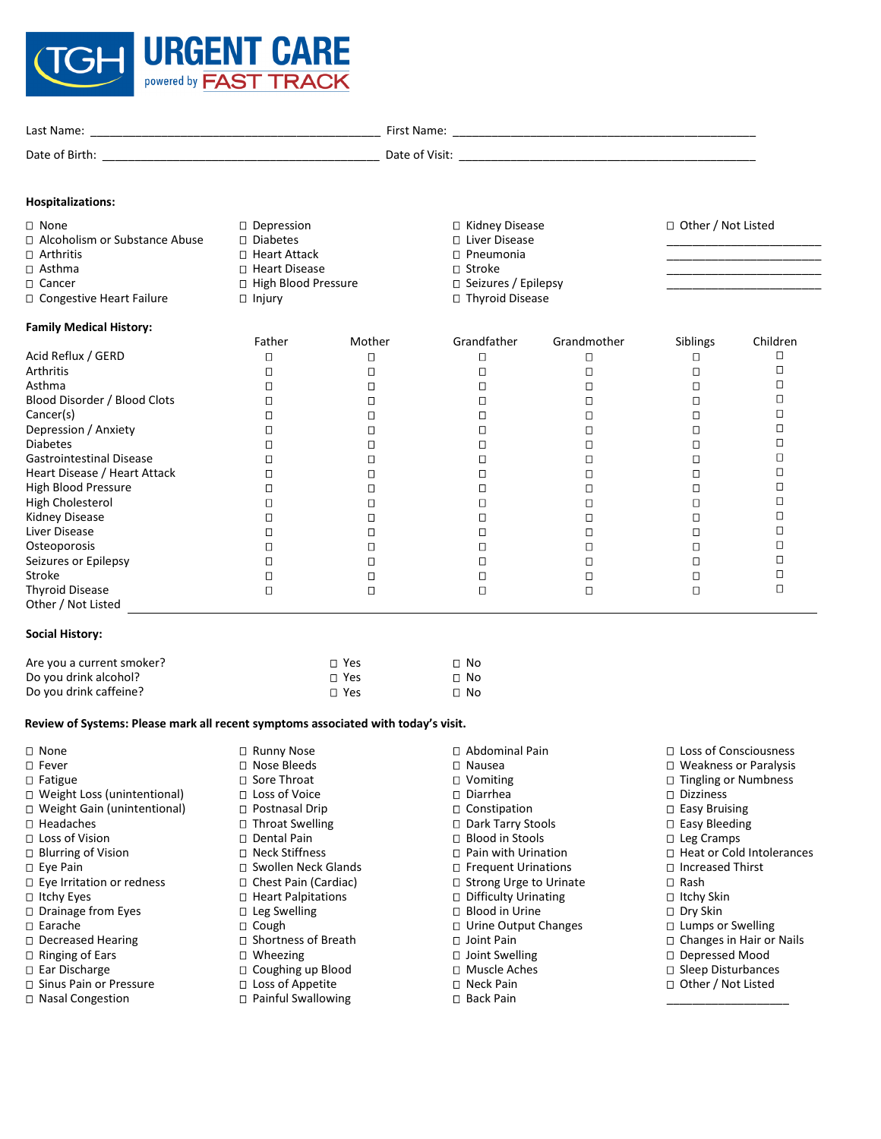

| Last Name:     | First Name:   |
|----------------|---------------|
| Date of Birth: | Date of Visit |
|                |               |

# **Hospitalizations:**

Gastrointestinal Disease Heart Disease / Heart Attack High Blood Pressure High Cholesterol Kidney Disease Liver Disease **Osteoporosis** Seizures or Epilepsy

Stroke

Thyroid Disease Other / Not Listed

**Social History:**

| $\square$ None<br>$\Box$ Alcoholism or Substance Abuse<br>$\Box$ Arthritis<br>$\Box$ Asthma<br>□ Cancer<br>$\Box$ Congestive Heart Failure | D Depression<br>$\Box$ Diabetes<br>□ Heart Attack<br>□ Heart Disease<br>□ High Blood Pressure<br>$\Box$ Injury |        | □ Kidney Disease<br>□ Liver Disease<br>$\Box$ Pneumonia<br>$\Box$ Stroke<br>$\Box$ Seizures / Epilepsy<br>□ Thyroid Disease |             | □ Other / Not Listed |          |
|--------------------------------------------------------------------------------------------------------------------------------------------|----------------------------------------------------------------------------------------------------------------|--------|-----------------------------------------------------------------------------------------------------------------------------|-------------|----------------------|----------|
| <b>Family Medical History:</b>                                                                                                             |                                                                                                                |        |                                                                                                                             |             |                      |          |
|                                                                                                                                            | Father                                                                                                         | Mother | Grandfather                                                                                                                 | Grandmother | <b>Siblings</b>      | Children |
| Acid Reflux / GERD                                                                                                                         |                                                                                                                | С      |                                                                                                                             |             |                      |          |
| Arthritis                                                                                                                                  |                                                                                                                | О      |                                                                                                                             |             |                      |          |
| Asthma                                                                                                                                     |                                                                                                                | О      |                                                                                                                             |             |                      |          |
| Blood Disorder / Blood Clots                                                                                                               |                                                                                                                | О      |                                                                                                                             |             |                      |          |
| Cancer(s)                                                                                                                                  |                                                                                                                | О      |                                                                                                                             |             |                      |          |
| Depression / Anxiety                                                                                                                       |                                                                                                                | О      |                                                                                                                             |             |                      |          |
| <b>Diabetes</b>                                                                                                                            |                                                                                                                | О      |                                                                                                                             |             |                      |          |

 $\Box$  $\Box$  $\Box$  $\Box$  $\Box$  $\Box$  $\Box$  $\Box$  $\Box$  $\Box$ 

 $\Box$  $\Box$  $\Box$  $\Box$  $\Box$  $\Box$  $\Box$  $\Box$  $\Box$  $\Box$ 

 $\Box$  $\Box$  $\Box$  $\Box$  $\Box$  $\Box$  $\Box$  $\Box$  $\Box$  $\Box$   $\Box$  $\Box$  $\Box$  $\Box$  $\Box$  $\Box$  $\Box$  $\Box$  $\Box$  $\Box$ 

 $\Box$  $\Box$  $\Box$  $\Box$  $\Box$  $\Box$  $\Box$  $\Box$  $\Box$  $\Box$ 

\_\_\_\_\_\_\_\_\_\_\_\_\_\_\_\_\_\_\_

| Are you a current smoker? | ∩ Yes | $\square$ No |
|---------------------------|-------|--------------|
| Do you drink alcohol?     | ∩ Yes | $\square$ No |
| Do you drink caffeine?    | ∩ Yes | $\square$ No |

 $\Box$  $\Box$  $\Box$  $\Box$  $\Box$  $\Box$  $\Box$  $\Box$  $\Box$  $\Box$ 

# **Review of Systems: Please mark all recent symptoms associated with today's visit.**

| $\Box$ None                        | □ Runny Nose            | $\Box$ Abdominal Pain         | $\Box$ Loss of Consciousness    |
|------------------------------------|-------------------------|-------------------------------|---------------------------------|
| $\square$ Fever                    | $\Box$ Nose Bleeds      | $\square$ Nausea              | $\Box$ Weakness or Paralysis    |
| $\Box$ Fatigue                     | □ Sore Throat           | $\Box$ Vomiting               | $\Box$ Tingling or Numbness     |
| $\Box$ Weight Loss (unintentional) | $\Box$ Loss of Voice    | □ Diarrhea                    | $\Box$ Dizziness                |
| □ Weight Gain (unintentional)      | □ Postnasal Drip        | $\Box$ Constipation           | $\Box$ Easy Bruising            |
| □ Headaches                        | $\Box$ Throat Swelling  | □ Dark Tarry Stools           | $\Box$ Easy Bleeding            |
| $\Box$ Loss of Vision              | □ Dental Pain           | $\Box$ Blood in Stools        | $\Box$ Leg Cramps               |
| $\Box$ Blurring of Vision          | □ Neck Stiffness        | $\Box$ Pain with Urination    | □ Heat or Cold Intolerances     |
| □ Eye Pain                         | □ Swollen Neck Glands   | □ Frequent Urinations         | □ Increased Thirst              |
| $\Box$ Eye Irritation or redness   | □ Chest Pain (Cardiac)  | $\Box$ Strong Urge to Urinate | $\square$ Rash                  |
| $\Box$ Itchy Eyes                  | □ Heart Palpitations    | $\Box$ Difficulty Urinating   | $\Box$ Itchy Skin               |
| $\Box$ Drainage from Eyes          | $\Box$ Leg Swelling     | $\Box$ Blood in Urine         | □ Dry Skin                      |
| $\Box$ Earache                     | $\Box$ Cough            | $\Box$ Urine Output Changes   | $\Box$ Lumps or Swelling        |
| $\Box$ Decreased Hearing           | □ Shortness of Breath   | □ Joint Pain                  | $\Box$ Changes in Hair or Nails |
| $\Box$ Ringing of Ears             | $\Box$ Wheezing         | $\Box$ Joint Swelling         | □ Depressed Mood                |
| $\Box$ Ear Discharge               | □ Coughing up Blood     | □ Muscle Aches                | □ Sleep Disturbances            |
| □ Sinus Pain or Pressure           | $\Box$ Loss of Appetite | □ Neck Pain                   | □ Other / Not Listed            |
| □ Nasal Congestion                 | □ Painful Swallowing    | □ Back Pain                   |                                 |

□ Nasal Congestion